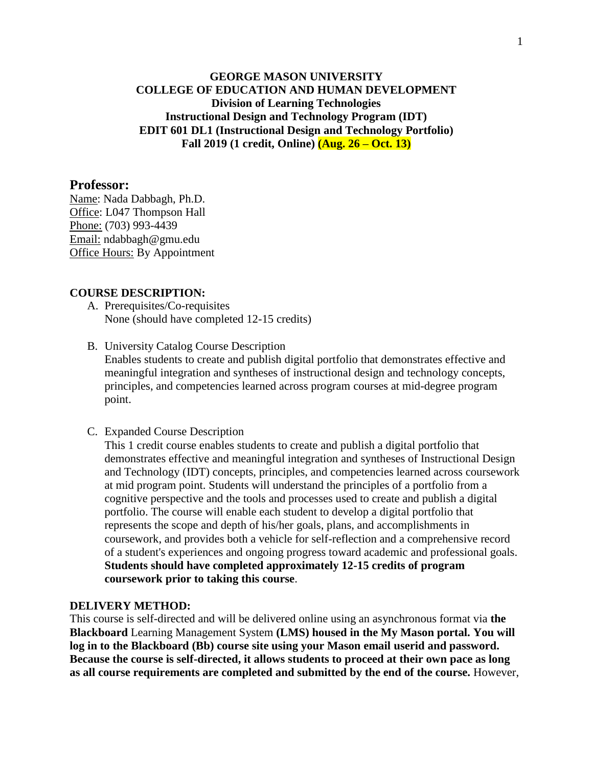## **GEORGE MASON UNIVERSITY COLLEGE OF EDUCATION AND HUMAN DEVELOPMENT Division of Learning Technologies Instructional Design and Technology Program (IDT) EDIT 601 DL1 (Instructional Design and Technology Portfolio) Fall 2019 (1 credit, Online) (Aug. 26 – Oct. 13)**

#### **Professor:**

Name: Nada Dabbagh, Ph.D. Office: L047 Thompson Hall Phone: (703) 993-4439 Email: ndabbagh@gmu.edu Office Hours: By Appointment

#### **COURSE DESCRIPTION:**

- A. Prerequisites/Co-requisites None (should have completed 12-15 credits)
- B. University Catalog Course Description Enables students to create and publish digital portfolio that demonstrates effective and meaningful integration and syntheses of instructional design and technology concepts, principles, and competencies learned across program courses at mid-degree program point.
- C. Expanded Course Description

This 1 credit course enables students to create and publish a digital portfolio that demonstrates effective and meaningful integration and syntheses of Instructional Design and Technology (IDT) concepts, principles, and competencies learned across coursework at mid program point. Students will understand the principles of a portfolio from a cognitive perspective and the tools and processes used to create and publish a digital portfolio. The course will enable each student to develop a digital portfolio that represents the scope and depth of his/her goals, plans, and accomplishments in coursework, and provides both a vehicle for self-reflection and a comprehensive record of a student's experiences and ongoing progress toward academic and professional goals. **Students should have completed approximately 12-15 credits of program coursework prior to taking this course**.

#### **DELIVERY METHOD:**

This course is self-directed and will be delivered online using an asynchronous format via **the Blackboard** Learning Management System **(LMS) housed in the My Mason portal. You will log in to the Blackboard (Bb) course site using your Mason email userid and password. Because the course is self-directed, it allows students to proceed at their own pace as long as all course requirements are completed and submitted by the end of the course.** However,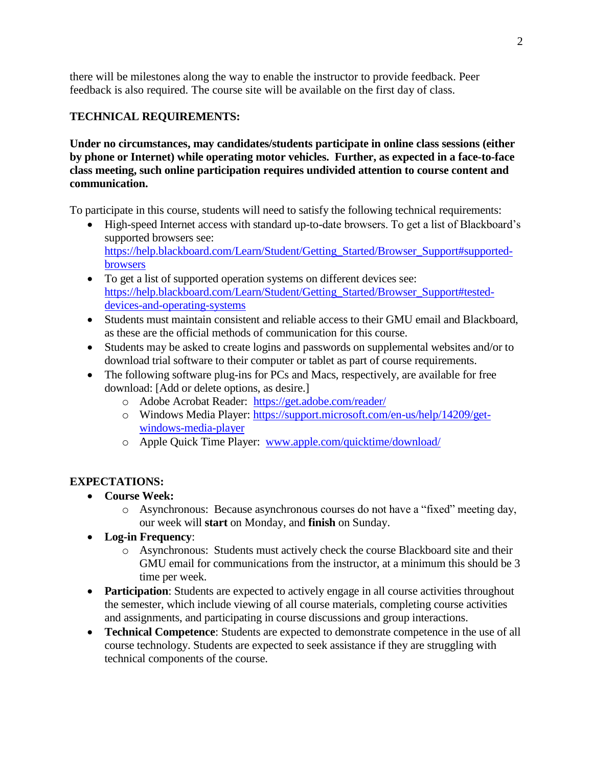there will be milestones along the way to enable the instructor to provide feedback. Peer feedback is also required. The course site will be available on the first day of class.

# **TECHNICAL REQUIREMENTS:**

**Under no circumstances, may candidates/students participate in online class sessions (either by phone or Internet) while operating motor vehicles. Further, as expected in a face-to-face class meeting, such online participation requires undivided attention to course content and communication.**

To participate in this course, students will need to satisfy the following technical requirements:

- High-speed Internet access with standard up-to-date browsers. To get a list of Blackboard's supported browsers see: [https://help.blackboard.com/Learn/Student/Getting\\_Started/Browser\\_Support#supported](https://help.blackboard.com/Learn/Student/Getting_Started/Browser_Support#supported-browsers)[browsers](https://help.blackboard.com/Learn/Student/Getting_Started/Browser_Support#supported-browsers)
- To get a list of supported operation systems on different devices see: [https://help.blackboard.com/Learn/Student/Getting\\_Started/Browser\\_Support#tested](https://help.blackboard.com/Learn/Student/Getting_Started/Browser_Support#tested-devices-and-operating-systems)[devices-and-operating-systems](https://help.blackboard.com/Learn/Student/Getting_Started/Browser_Support#tested-devices-and-operating-systems)
- Students must maintain consistent and reliable access to their GMU email and Blackboard, as these are the official methods of communication for this course.
- Students may be asked to create logins and passwords on supplemental websites and/or to download trial software to their computer or tablet as part of course requirements.
- The following software plug-ins for PCs and Macs, respectively, are available for free download: [Add or delete options, as desire.]
	- o Adobe Acrobat Reader: <https://get.adobe.com/reader/>
	- o Windows Media Player: [https://support.microsoft.com/en-us/help/14209/get](https://support.microsoft.com/en-us/help/14209/get-windows-media-player)[windows-media-player](https://support.microsoft.com/en-us/help/14209/get-windows-media-player)
	- o Apple Quick Time Player: [www.apple.com/quicktime/download/](http://www.apple.com/quicktime/download/)

# **EXPECTATIONS:**

- **Course Week:**
	- o Asynchronous: Because asynchronous courses do not have a "fixed" meeting day, our week will **start** on Monday, and **finish** on Sunday.
- **Log-in Frequency**:
	- o Asynchronous: Students must actively check the course Blackboard site and their GMU email for communications from the instructor, at a minimum this should be 3 time per week.
- **Participation**: Students are expected to actively engage in all course activities throughout the semester, which include viewing of all course materials, completing course activities and assignments, and participating in course discussions and group interactions.
- **Technical Competence**: Students are expected to demonstrate competence in the use of all course technology. Students are expected to seek assistance if they are struggling with technical components of the course.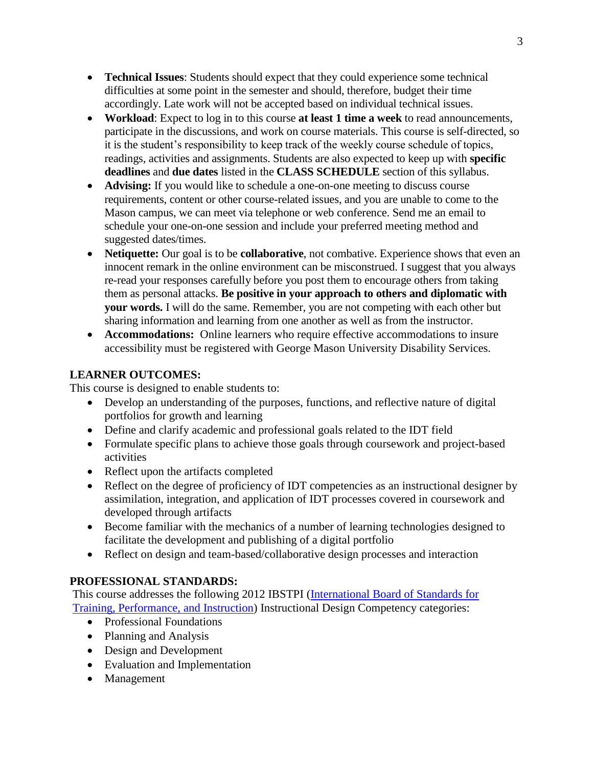- **Technical Issues**: Students should expect that they could experience some technical difficulties at some point in the semester and should, therefore, budget their time accordingly. Late work will not be accepted based on individual technical issues.
- **Workload**: Expect to log in to this course **at least 1 time a week** to read announcements, participate in the discussions, and work on course materials. This course is self-directed, so it is the student's responsibility to keep track of the weekly course schedule of topics, readings, activities and assignments. Students are also expected to keep up with **specific deadlines** and **due dates** listed in the **CLASS SCHEDULE** section of this syllabus.
- **Advising:** If you would like to schedule a one-on-one meeting to discuss course requirements, content or other course-related issues, and you are unable to come to the Mason campus, we can meet via telephone or web conference. Send me an email to schedule your one-on-one session and include your preferred meeting method and suggested dates/times.
- Netiquette: Our goal is to be **collaborative**, not combative. Experience shows that even an innocent remark in the online environment can be misconstrued. I suggest that you always re-read your responses carefully before you post them to encourage others from taking them as personal attacks. **Be positive in your approach to others and diplomatic with your words.** I will do the same. Remember, you are not competing with each other but sharing information and learning from one another as well as from the instructor.
- **Accommodations:** Online learners who require effective accommodations to insure accessibility must be registered with George Mason University Disability Services.

# **LEARNER OUTCOMES:**

This course is designed to enable students to:

- Develop an understanding of the purposes, functions, and reflective nature of digital portfolios for growth and learning
- Define and clarify academic and professional goals related to the IDT field
- Formulate specific plans to achieve those goals through coursework and project-based activities
- Reflect upon the artifacts completed
- Reflect on the degree of proficiency of IDT competencies as an instructional designer by assimilation, integration, and application of IDT processes covered in coursework and developed through artifacts
- Become familiar with the mechanics of a number of learning technologies designed to facilitate the development and publishing of a digital portfolio
- Reflect on design and team-based/collaborative design processes and interaction

# **PROFESSIONAL STANDARDS:**

This course addresses the following 2012 IBSTPI [\(International Board of Standards for](http://ibstpi.org/introducing-the-2012-instructional-design-competencies/)  [Training, Performance, and Instruction\)](http://ibstpi.org/introducing-the-2012-instructional-design-competencies/) Instructional Design Competency categories:

- Professional Foundations
- Planning and Analysis
- Design and Development
- Evaluation and Implementation
- Management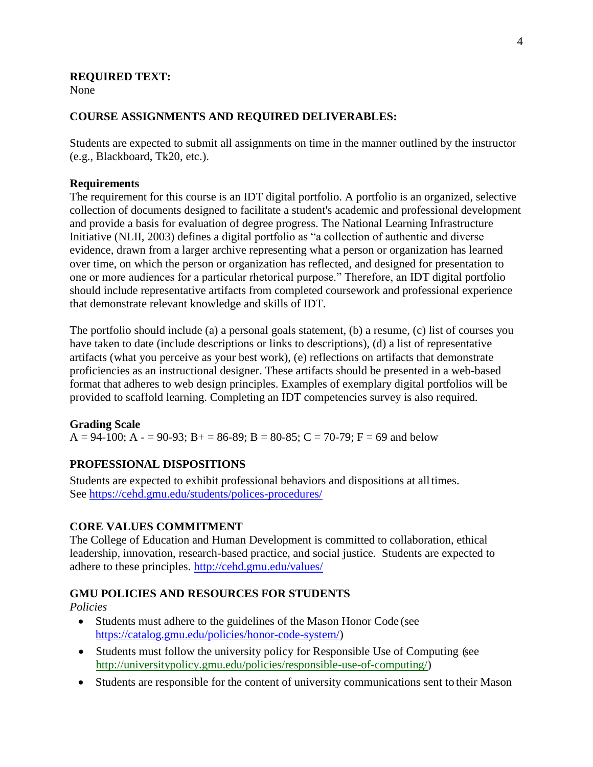### **REQUIRED TEXT:**

None

### **COURSE ASSIGNMENTS AND REQUIRED DELIVERABLES:**

Students are expected to submit all assignments on time in the manner outlined by the instructor (e.g., Blackboard, Tk20, etc.).

#### **Requirements**

The requirement for this course is an IDT digital portfolio. A portfolio is an organized, selective collection of documents designed to facilitate a student's academic and professional development and provide a basis for evaluation of degree progress. The National Learning Infrastructure Initiative (NLII, 2003) defines a digital portfolio as "a collection of authentic and diverse evidence, drawn from a larger archive representing what a person or organization has learned over time, on which the person or organization has reflected, and designed for presentation to one or more audiences for a particular rhetorical purpose." Therefore, an IDT digital portfolio should include representative artifacts from completed coursework and professional experience that demonstrate relevant knowledge and skills of IDT.

The portfolio should include (a) a personal goals statement, (b) a resume, (c) list of courses you have taken to date (include descriptions or links to descriptions), (d) a list of representative artifacts (what you perceive as your best work), (e) reflections on artifacts that demonstrate proficiencies as an instructional designer. These artifacts should be presented in a web-based format that adheres to web design principles. Examples of exemplary digital portfolios will be provided to scaffold learning. Completing an IDT competencies survey is also required.

#### **Grading Scale**

A = 94-100; A - = 90-93; B + = 86-89; B = 80-85; C = 70-79; F = 69 and below

## **PROFESSIONAL DISPOSITIONS**

Students are expected to exhibit professional behaviors and dispositions at alltimes. See<https://cehd.gmu.edu/students/polices-procedures/>

### **CORE VALUES COMMITMENT**

The College of Education and Human Development is committed to collaboration, ethical leadership, innovation, research-based practice, and social justice. Students are expected to adhere to these principles. <http://cehd.gmu.edu/values/>

### **GMU POLICIES AND RESOURCES FOR STUDENTS**

*Policies*

- Students must adhere to the guidelines of the Mason Honor Code (see [https://catalog.gmu.edu/policies/honor-code-system/\)](https://catalog.gmu.edu/policies/honor-code-system/)
- Students must follow the university policy for Responsible Use of Computing (see [http://universitypolicy.gmu.edu/policies/responsible-use-of-computing/\)](http://universitypolicy.gmu.edu/policies/responsible-use-of-computing/)
- Students are responsible for the content of university communications sent to their Mason